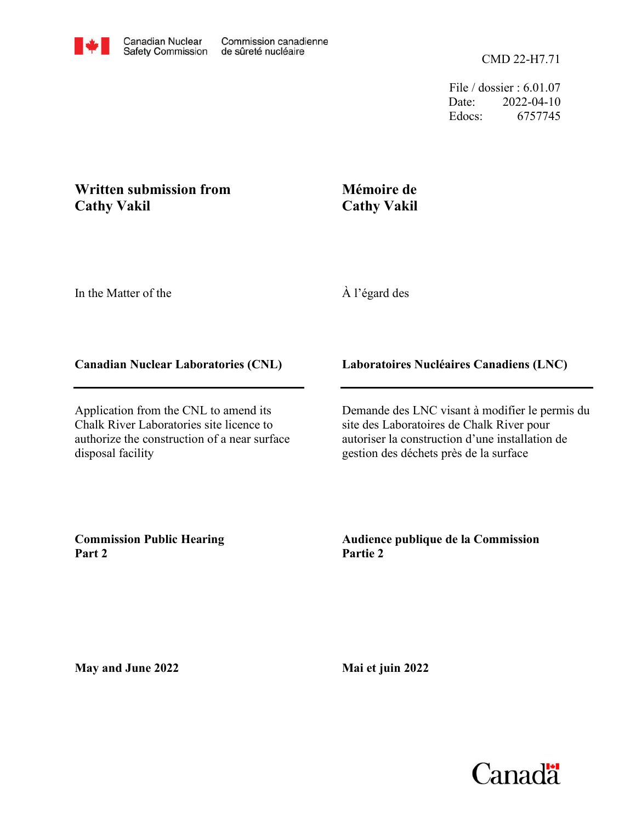File / dossier : 6.01.07 Date: 2022-04-10 Edocs: 6757745

## **Written submission from Cathy Vakil**

## **Mémoire de Cathy Vakil**

In the Matter of the

À l'égard des

## **Canadian Nuclear Laboratories (CNL)**

Application from the CNL to amend its Chalk River Laboratories site licence to authorize the construction of a near surface disposal facility

**Laboratoires Nucléaires Canadiens (LNC)**

Demande des LNC visant à modifier le permis du site des Laboratoires de Chalk River pour autoriser la construction d'une installation de gestion des déchets près de la surface

**Commission Public Hearing Part 2**

**Audience publique de la Commission Partie 2**

**May and June 2022**

**Mai et juin 2022**

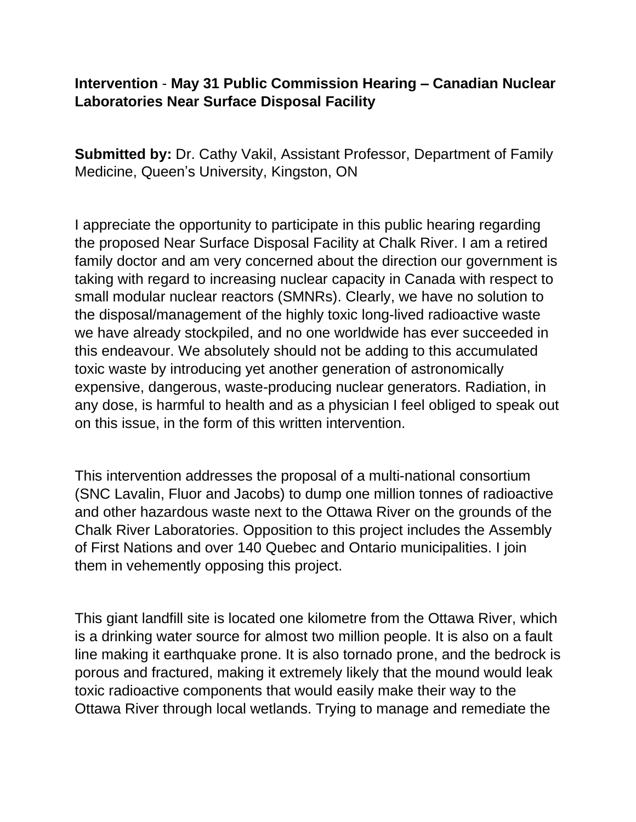## **Intervention** - **May 31 Public Commission Hearing – Canadian Nuclear Laboratories Near Surface Disposal Facility**

**Submitted by:** Dr. Cathy Vakil, Assistant Professor, Department of Family Medicine, Queen's University, Kingston, ON

I appreciate the opportunity to participate in this public hearing regarding the proposed Near Surface Disposal Facility at Chalk River. I am a retired family doctor and am very concerned about the direction our government is taking with regard to increasing nuclear capacity in Canada with respect to small modular nuclear reactors (SMNRs). Clearly, we have no solution to the disposal/management of the highly toxic long-lived radioactive waste we have already stockpiled, and no one worldwide has ever succeeded in this endeavour. We absolutely should not be adding to this accumulated toxic waste by introducing yet another generation of astronomically expensive, dangerous, waste-producing nuclear generators. Radiation, in any dose, is harmful to health and as a physician I feel obliged to speak out on this issue, in the form of this written intervention.

This intervention addresses the proposal of a multi-national consortium (SNC Lavalin, Fluor and Jacobs) to dump one million tonnes of radioactive and other hazardous waste next to the Ottawa River on the grounds of the Chalk River Laboratories. Opposition to this project includes the Assembly of First Nations and over 140 Quebec and Ontario municipalities. I join them in vehemently opposing this project.

This giant landfill site is located one kilometre from the Ottawa River, which is a drinking water source for almost two million people. It is also on a fault line making it earthquake prone. It is also tornado prone, and the bedrock is porous and fractured, making it extremely likely that the mound would leak toxic radioactive components that would easily make their way to the Ottawa River through local wetlands. Trying to manage and remediate the